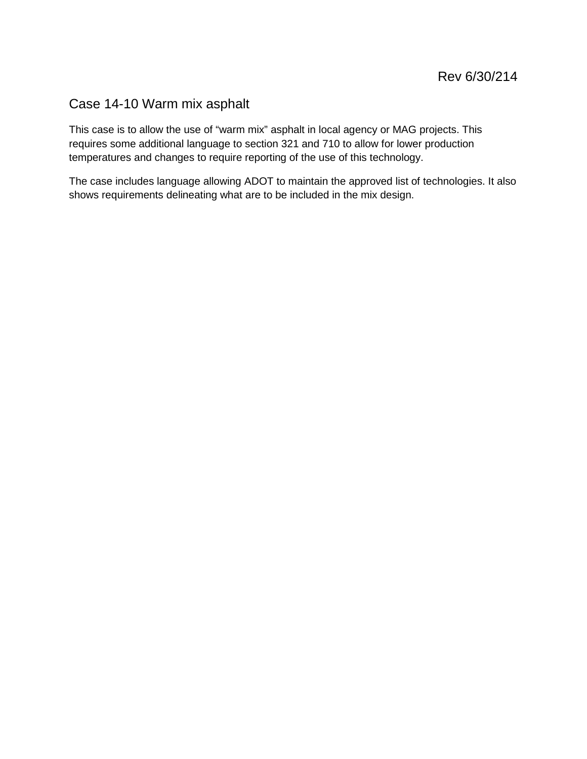# Case 14-10 Warm mix asphalt

This case is to allow the use of "warm mix" asphalt in local agency or MAG projects. This requires some additional language to section 321 and 710 to allow for lower production temperatures and changes to require reporting of the use of this technology.

The case includes language allowing ADOT to maintain the approved list of technologies. It also shows requirements delineating what are to be included in the mix design.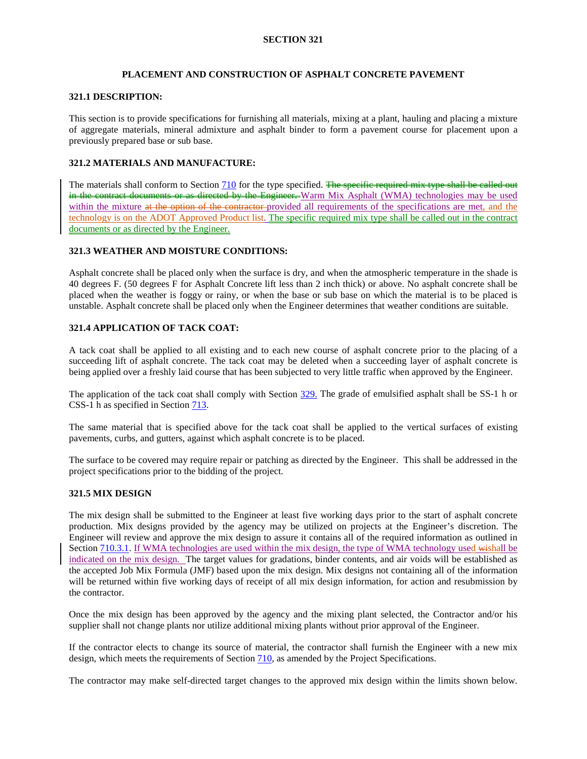# **PLACEMENT AND CONSTRUCTION OF ASPHALT CONCRETE PAVEMENT**

#### **321.1 DESCRIPTION:**

This section is to provide specifications for furnishing all materials, mixing at a plant, hauling and placing a mixture of aggregate materials, mineral admixture and asphalt binder to form a pavement course for placement upon a previously prepared base or sub base.

# **321.2 MATERIALS AND MANUFACTURE:**

The materials shall conform to Section 710 for the type specified. The specific required mix type shall be called out in the contract documents or as directed by the Engineer. Warm Mix Asphalt (WMA) technologies may be used within the mixture at the option of the contractor-provided all requirements of the specifications are met, and the technology is on the ADOT Approved Product list. The specific required mix type shall be called out in the contract documents or as directed by the Engineer.

# **321.3 WEATHER AND MOISTURE CONDITIONS:**

Asphalt concrete shall be placed only when the surface is dry, and when the atmospheric temperature in the shade is 40 degrees F. (50 degrees F for Asphalt Concrete lift less than 2 inch thick) or above. No asphalt concrete shall be placed when the weather is foggy or rainy, or when the base or sub base on which the material is to be placed is unstable. Asphalt concrete shall be placed only when the Engineer determines that weather conditions are suitable.

## <span id="page-1-0"></span>**321.4 APPLICATION OF TACK COAT:**

A tack coat shall be applied to all existing and to each new course of asphalt concrete prior to the placing of a succeeding lift of asphalt concrete. The tack coat may be deleted when a succeeding layer of asphalt concrete is being applied over a freshly laid course that has been subjected to very little traffic when approved by the Engineer.

The application of the tack coat shall comply with Section 329. The grade of emulsified asphalt shall be SS-1 h or CSS-1 h as specified in Section 713.

The same material that is specified above for the tack coat shall be applied to the vertical surfaces of existing pavements, curbs, and gutters, against which asphalt concrete is to be placed.

The surface to be covered may require repair or patching as directed by the Engineer. This shall be addressed in the project specifications prior to the bidding of the project.

#### **321.5 MIX DESIGN**

The mix design shall be submitted to the Engineer at least five working days prior to the start of asphalt concrete production. Mix designs provided by the agency may be utilized on projects at the Engineer's discretion. The Engineer will review and approve the mix design to assure it contains all of the required information as outlined in Section 710.3.1. If WMA technologies are used within the mix design, the type of WMA technology used wishall be indicated on the mix design. The target values for gradations, binder contents, and air voids will be established as the accepted Job Mix Formula (JMF) based upon the mix design. Mix designs not containing all of the information will be returned within five working days of receipt of all mix design information, for action and resubmission by the contractor.

Once the mix design has been approved by the agency and the mixing plant selected, the Contractor and/or his supplier shall not change plants nor utilize additional mixing plants without prior approval of the Engineer.

If the contractor elects to change its source of material, the contractor shall furnish the Engineer with a new mix design, which meets the requirements of Section 710, as amended by the Project Specifications.

The contractor may make self-directed target changes to the approved mix design within the limits shown below.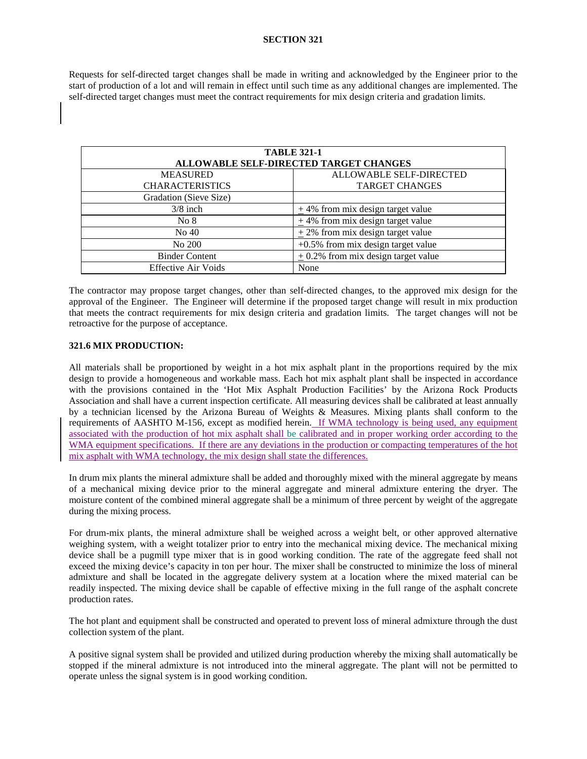Requests for self-directed target changes shall be made in writing and acknowledged by the Engineer prior to the start of production of a lot and will remain in effect until such time as any additional changes are implemented. The self-directed target changes must meet the contract requirements for mix design criteria and gradation limits.

| <b>TABLE 321-1</b>         |                                        |  |
|----------------------------|----------------------------------------|--|
|                            | ALLOWABLE SELF-DIRECTED TARGET CHANGES |  |
| <b>MEASURED</b>            | ALLOWABLE SELF-DIRECTED                |  |
| <b>CHARACTERISTICS</b>     | <b>TARGET CHANGES</b>                  |  |
| Gradation (Sieve Size)     |                                        |  |
| $3/8$ inch                 | $\pm$ 4% from mix design target value  |  |
| No 8                       | $+4\%$ from mix design target value    |  |
| No 40                      | $+2\%$ from mix design target value    |  |
| No 200                     | $+0.5\%$ from mix design target value  |  |
| <b>Binder Content</b>      | $+0.2\%$ from mix design target value  |  |
| <b>Effective Air Voids</b> | None                                   |  |

The contractor may propose target changes, other than self-directed changes, to the approved mix design for the approval of the Engineer. The Engineer will determine if the proposed target change will result in mix production that meets the contract requirements for mix design criteria and gradation limits. The target changes will not be retroactive for the purpose of acceptance.

#### <span id="page-2-0"></span>**321.6 MIX PRODUCTION:**

All materials shall be proportioned by weight in a hot mix asphalt plant in the proportions required by the mix design to provide a homogeneous and workable mass. Each hot mix asphalt plant shall be inspected in accordance with the provisions contained in the 'Hot Mix Asphalt Production Facilities' by the Arizona Rock Products Association and shall have a current inspection certificate. All measuring devices shall be calibrated at least annually by a technician licensed by the Arizona Bureau of Weights & Measures. Mixing plants shall conform to the requirements of AASHTO M-156, except as modified herein. If WMA technology is being used, any equipment associated with the production of hot mix asphalt shall be calibrated and in proper working order according to the WMA equipment specifications. If there are any deviations in the production or compacting temperatures of the hot mix asphalt with WMA technology, the mix design shall state the differences.

In drum mix plants the mineral admixture shall be added and thoroughly mixed with the mineral aggregate by means of a mechanical mixing device prior to the mineral aggregate and mineral admixture entering the dryer. The moisture content of the combined mineral aggregate shall be a minimum of three percent by weight of the aggregate during the mixing process.

For drum-mix plants, the mineral admixture shall be weighed across a weight belt, or other approved alternative weighing system, with a weight totalizer prior to entry into the mechanical mixing device. The mechanical mixing device shall be a pugmill type mixer that is in good working condition. The rate of the aggregate feed shall not exceed the mixing device's capacity in ton per hour. The mixer shall be constructed to minimize the loss of mineral admixture and shall be located in the aggregate delivery system at a location where the mixed material can be readily inspected. The mixing device shall be capable of effective mixing in the full range of the asphalt concrete production rates.

The hot plant and equipment shall be constructed and operated to prevent loss of mineral admixture through the dust collection system of the plant.

A positive signal system shall be provided and utilized during production whereby the mixing shall automatically be stopped if the mineral admixture is not introduced into the mineral aggregate. The plant will not be permitted to operate unless the signal system is in good working condition.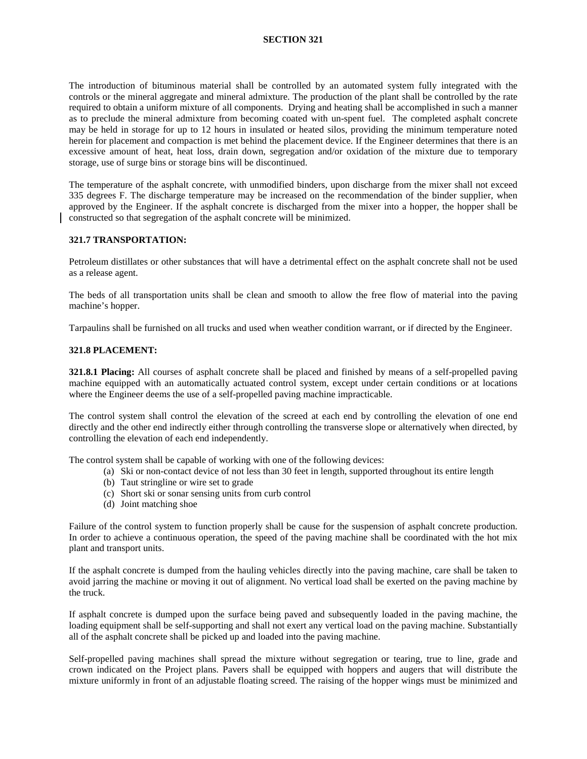The introduction of bituminous material shall be controlled by an automated system fully integrated with the controls or the mineral aggregate and mineral admixture. The production of the plant shall be controlled by the rate required to obtain a uniform mixture of all components. Drying and heating shall be accomplished in such a manner as to preclude the mineral admixture from becoming coated with un-spent fuel. The completed asphalt concrete may be held in storage for up to 12 hours in insulated or heated silos, providing the minimum temperature noted herein for placement and compaction is met behind the placement device. If the Engineer determines that there is an excessive amount of heat, heat loss, drain down, segregation and/or oxidation of the mixture due to temporary storage, use of surge bins or storage bins will be discontinued.

The temperature of the asphalt concrete, with unmodified binders, upon discharge from the mixer shall not exceed 335 degrees F. The discharge temperature may be increased on the recommendation of the binder supplier, when approved by the Engineer. If the asphalt concrete is discharged from the mixer into a hopper, the hopper shall be constructed so that segregation of the asphalt concrete will be minimized.

#### **321.7 TRANSPORTATION:**

Petroleum distillates or other substances that will have a detrimental effect on the asphalt concrete shall not be used as a release agent.

The beds of all transportation units shall be clean and smooth to allow the free flow of material into the paving machine's hopper.

Tarpaulins shall be furnished on all trucks and used when weather condition warrant, or if directed by the Engineer.

#### **321.8 PLACEMENT:**

<span id="page-3-0"></span>**321.8.1 Placing:** All courses of asphalt concrete shall be placed and finished by means of a self-propelled paving machine equipped with an automatically actuated control system, except under certain conditions or at locations where the Engineer deems the use of a self-propelled paving machine impracticable.

The control system shall control the elevation of the screed at each end by controlling the elevation of one end directly and the other end indirectly either through controlling the transverse slope or alternatively when directed, by controlling the elevation of each end independently.

The control system shall be capable of working with one of the following devices:

- (a) Ski or non-contact device of not less than 30 feet in length, supported throughout its entire length
- (b) Taut stringline or wire set to grade
- (c) Short ski or sonar sensing units from curb control
- (d) Joint matching shoe

Failure of the control system to function properly shall be cause for the suspension of asphalt concrete production. In order to achieve a continuous operation, the speed of the paving machine shall be coordinated with the hot mix plant and transport units.

If the asphalt concrete is dumped from the hauling vehicles directly into the paving machine, care shall be taken to avoid jarring the machine or moving it out of alignment. No vertical load shall be exerted on the paving machine by the truck.

If asphalt concrete is dumped upon the surface being paved and subsequently loaded in the paving machine, the loading equipment shall be self-supporting and shall not exert any vertical load on the paving machine. Substantially all of the asphalt concrete shall be picked up and loaded into the paving machine.

Self-propelled paving machines shall spread the mixture without segregation or tearing, true to line, grade and crown indicated on the Project plans. Pavers shall be equipped with hoppers and augers that will distribute the mixture uniformly in front of an adjustable floating screed. The raising of the hopper wings must be minimized and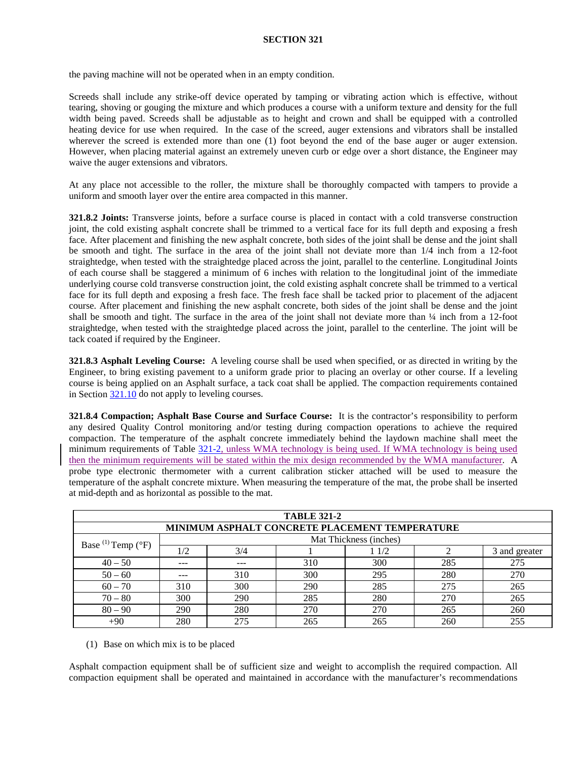the paving machine will not be operated when in an empty condition.

Screeds shall include any strike-off device operated by tamping or vibrating action which is effective, without tearing, shoving or gouging the mixture and which produces a course with a uniform texture and density for the full width being paved. Screeds shall be adjustable as to height and crown and shall be equipped with a controlled heating device for use when required. In the case of the screed, auger extensions and vibrators shall be installed wherever the screed is extended more than one (1) foot beyond the end of the base auger or auger extension. However, when placing material against an extremely uneven curb or edge over a short distance, the Engineer may waive the auger extensions and vibrators.

At any place not accessible to the roller, the mixture shall be thoroughly compacted with tampers to provide a uniform and smooth layer over the entire area compacted in this manner.

**321.8.2 Joints:** Transverse joints, before a surface course is placed in contact with a cold transverse construction joint, the cold existing asphalt concrete shall be trimmed to a vertical face for its full depth and exposing a fresh face. After placement and finishing the new asphalt concrete, both sides of the joint shall be dense and the joint shall be smooth and tight. The surface in the area of the joint shall not deviate more than 1/4 inch from a 12-foot straightedge, when tested with the straightedge placed across the joint, parallel to the centerline. Longitudinal Joints of each course shall be staggered a minimum of 6 inches with relation to the longitudinal joint of the immediate underlying course cold transverse construction joint, the cold existing asphalt concrete shall be trimmed to a vertical face for its full depth and exposing a fresh face. The fresh face shall be tacked prior to placement of the adjacent course. After placement and finishing the new asphalt concrete, both sides of the joint shall be dense and the joint shall be smooth and tight. The surface in the area of the joint shall not deviate more than ¼ inch from a 12-foot straightedge, when tested with the straightedge placed across the joint, parallel to the centerline. The joint will be tack coated if required by the Engineer.

**321.8.3 Asphalt Leveling Course:** A leveling course shall be used when specified, or as directed in writing by the Engineer, to bring existing pavement to a uniform grade prior to placing an overlay or other course. If a leveling course is being applied on an Asphalt surface, a tack coat shall be applied. The compaction requirements contained in Section [321.10](#page-7-0) do not apply to leveling courses.

<span id="page-4-0"></span>**321.8.4 Compaction; Asphalt Base Course and Surface Course:** It is the contractor's responsibility to perform any desired Quality Control monitoring and/or testing during compaction operations to achieve the required compaction. The temperature of the asphalt concrete immediately behind the laydown machine shall meet the minimum requirements of Table [321-2,](#page-2-0) unless WMA technology is being used. If WMA technology is being used then the minimum requirements will be stated within the mix design recommended by the WMA manufacturer. A probe type electronic thermometer with a current calibration sticker attached will be used to measure the temperature of the asphalt concrete mixture. When measuring the temperature of the mat, the probe shall be inserted at mid-depth and as horizontal as possible to the mat.

| <b>TABLE 321-2</b>                             |     |     |     |                        |     |               |
|------------------------------------------------|-----|-----|-----|------------------------|-----|---------------|
| MINIMUM ASPHALT CONCRETE PLACEMENT TEMPERATURE |     |     |     |                        |     |               |
| Base $^{(1)}$ Temp $(^{\circ}F)$               |     |     |     | Mat Thickness (inches) |     |               |
|                                                | 1/2 | 3/4 |     | 11/2                   |     | 3 and greater |
| $40 - 50$                                      | --- | --- | 310 | 300                    | 285 | 275           |
| $50 - 60$                                      | --- | 310 | 300 | 295                    | 280 | 270           |
| $60 - 70$                                      | 310 | 300 | 290 | 285                    | 275 | 265           |
| $70 - 80$                                      | 300 | 290 | 285 | 280                    | 270 | 265           |
| $80 - 90$                                      | 290 | 280 | 270 | 270                    | 265 | 260           |
| $+90$                                          | 280 | 275 | 265 | 265                    | 260 | 255           |

(1) Base on which mix is to be placed

Asphalt compaction equipment shall be of sufficient size and weight to accomplish the required compaction. All compaction equipment shall be operated and maintained in accordance with the manufacturer's recommendations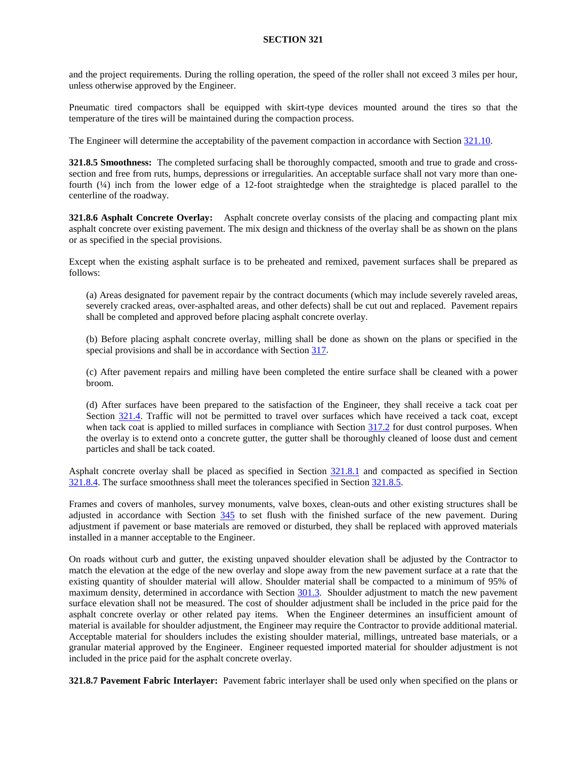and the project requirements. During the rolling operation, the speed of the roller shall not exceed 3 miles per hour, unless otherwise approved by the Engineer.

Pneumatic tired compactors shall be equipped with skirt-type devices mounted around the tires so that the temperature of the tires will be maintained during the compaction process.

The Engineer will determine the acceptability of the pavement compaction in accordance with Section [321.10.](#page-7-0)

<span id="page-5-0"></span>**321.8.5 Smoothness:** The completed surfacing shall be thoroughly compacted, smooth and true to grade and crosssection and free from ruts, humps, depressions or irregularities. An acceptable surface shall not vary more than onefourth (¼) inch from the lower edge of a 12-foot straightedge when the straightedge is placed parallel to the centerline of the roadway.

**321.8.6 Asphalt Concrete Overlay:** Asphalt concrete overlay consists of the placing and compacting plant mix asphalt concrete over existing pavement. The mix design and thickness of the overlay shall be as shown on the plans or as specified in the special provisions.

Except when the existing asphalt surface is to be preheated and remixed, pavement surfaces shall be prepared as follows:

(a) Areas designated for pavement repair by the contract documents (which may include severely raveled areas, severely cracked areas, over-asphalted areas, and other defects) shall be cut out and replaced. Pavement repairs shall be completed and approved before placing asphalt concrete overlay.

(b) Before placing asphalt concrete overlay, milling shall be done as shown on the plans or specified in the special provisions and shall be in accordance with Section 317.

(c) After pavement repairs and milling have been completed the entire surface shall be cleaned with a power broom.

(d) After surfaces have been prepared to the satisfaction of the Engineer, they shall receive a tack coat per Section [321.4.](#page-1-0) Traffic will not be permitted to travel over surfaces which have received a tack coat, except when tack coat is applied to milled surfaces in compliance with Section 317.2 for dust control purposes. When the overlay is to extend onto a concrete gutter, the gutter shall be thoroughly cleaned of loose dust and cement particles and shall be tack coated.

Asphalt concrete overlay shall be placed as specified in Section [321.8.1](#page-3-0) and compacted as specified in Section [321.8.4.](#page-4-0) The surface smoothness shall meet the tolerances specified in Section [321.8.5.](#page-5-0)

Frames and covers of manholes, survey monuments, valve boxes, clean-outs and other existing structures shall be adjusted in accordance with Section 345 to set flush with the finished surface of the new pavement. During adjustment if pavement or base materials are removed or disturbed, they shall be replaced with approved materials installed in a manner acceptable to the Engineer.

On roads without curb and gutter, the existing unpaved shoulder elevation shall be adjusted by the Contractor to match the elevation at the edge of the new overlay and slope away from the new pavement surface at a rate that the existing quantity of shoulder material will allow. Shoulder material shall be compacted to a minimum of 95% of maximum density, determined in accordance with Section 301.3. Shoulder adjustment to match the new pavement surface elevation shall not be measured. The cost of shoulder adjustment shall be included in the price paid for the asphalt concrete overlay or other related pay items. When the Engineer determines an insufficient amount of material is available for shoulder adjustment, the Engineer may require the Contractor to provide additional material. Acceptable material for shoulders includes the existing shoulder material, millings, untreated base materials, or a granular material approved by the Engineer. Engineer requested imported material for shoulder adjustment is not included in the price paid for the asphalt concrete overlay.

**321.8.7 Pavement Fabric Interlayer:** Pavement fabric interlayer shall be used only when specified on the plans or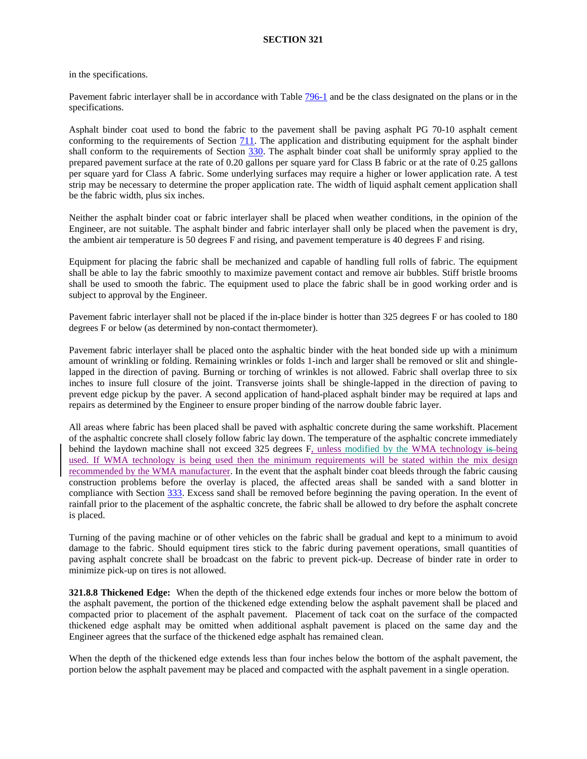in the specifications.

Pavement fabric interlayer shall be in accordance with Table 796-1 and be the class designated on the plans or in the specifications.

Asphalt binder coat used to bond the fabric to the pavement shall be paving asphalt PG 70-10 asphalt cement conforming to the requirements of Section  $711$ . The application and distributing equipment for the asphalt binder shall conform to the requirements of Section 330. The asphalt binder coat shall be uniformly spray applied to the prepared pavement surface at the rate of 0.20 gallons per square yard for Class B fabric or at the rate of 0.25 gallons per square yard for Class A fabric. Some underlying surfaces may require a higher or lower application rate. A test strip may be necessary to determine the proper application rate. The width of liquid asphalt cement application shall be the fabric width, plus six inches.

<span id="page-6-0"></span>Neither the asphalt binder coat or fabric interlayer shall be placed when weather conditions, in the opinion of the Engineer, are not suitable. The asphalt binder and fabric interlayer shall only be placed when the pavement is dry, the ambient air temperature is 50 degrees F and rising, and pavement temperature is 40 degrees F and rising.

Equipment for placing the fabric shall be mechanized and capable of handling full rolls of fabric. The equipment shall be able to lay the fabric smoothly to maximize pavement contact and remove air bubbles. Stiff bristle brooms shall be used to smooth the fabric. The equipment used to place the fabric shall be in good working order and is subject to approval by the Engineer.

Pavement fabric interlayer shall not be placed if the in-place binder is hotter than 325 degrees F or has cooled to 180 degrees F or below (as determined by non-contact thermometer).

Pavement fabric interlayer shall be placed onto the asphaltic binder with the heat bonded side up with a minimum amount of wrinkling or folding. Remaining wrinkles or folds 1-inch and larger shall be removed or slit and shinglelapped in the direction of paving. Burning or torching of wrinkles is not allowed. Fabric shall overlap three to six inches to insure full closure of the joint. Transverse joints shall be shingle-lapped in the direction of paving to prevent edge pickup by the paver. A second application of hand-placed asphalt binder may be required at laps and repairs as determined by the Engineer to ensure proper binding of the narrow double fabric layer.

All areas where fabric has been placed shall be paved with asphaltic concrete during the same workshift. Placement of the asphaltic concrete shall closely follow fabric lay down. The temperature of the asphaltic concrete immediately behind the laydown machine shall not exceed 325 degrees F, unless modified by the WMA technology is being used. If WMA technology is being used then the minimum requirements will be stated within the mix design recommended by the WMA manufacturer. In the event that the asphalt binder coat bleeds through the fabric causing construction problems before the overlay is placed, the affected areas shall be sanded with a sand blotter in compliance with Section 333. Excess sand shall be removed before beginning the paving operation. In the event of rainfall prior to the placement of the asphaltic concrete, the fabric shall be allowed to dry before the asphalt concrete is placed.

Turning of the paving machine or of other vehicles on the fabric shall be gradual and kept to a minimum to avoid damage to the fabric. Should equipment tires stick to the fabric during pavement operations, small quantities of paving asphalt concrete shall be broadcast on the fabric to prevent pick-up. Decrease of binder rate in order to minimize pick-up on tires is not allowed.

**321.8.8 Thickened Edge:** When the depth of the thickened edge extends four inches or more below the bottom of the asphalt pavement, the portion of the thickened edge extending below the asphalt pavement shall be placed and compacted prior to placement of the asphalt pavement. Placement of tack coat on the surface of the compacted thickened edge asphalt may be omitted when additional asphalt pavement is placed on the same day and the Engineer agrees that the surface of the thickened edge asphalt has remained clean.

When the depth of the thickened edge extends less than four inches below the bottom of the asphalt pavement, the portion below the asphalt pavement may be placed and compacted with the asphalt pavement in a single operation.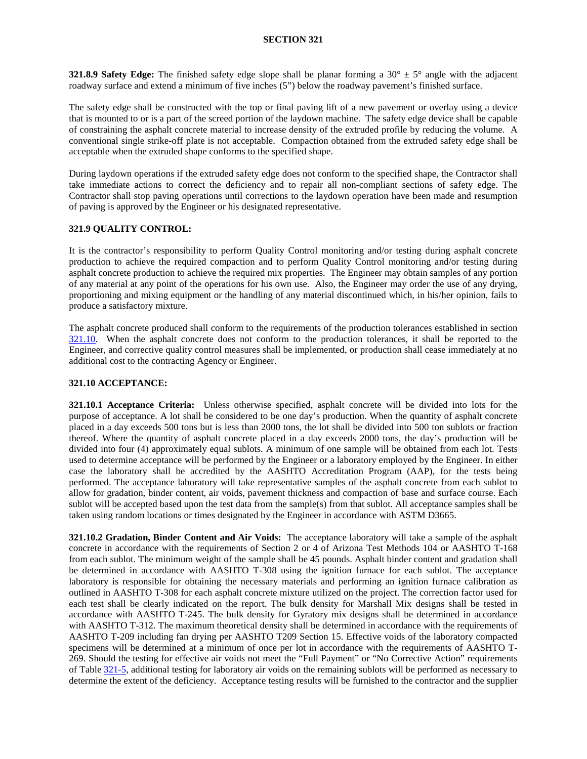**321.8.9 Safety Edge:** The finished safety edge slope shall be planar forming a 30°  $\pm$  5° angle with the adjacent roadway surface and extend a minimum of five inches (5") below the roadway pavement's finished surface.

The safety edge shall be constructed with the top or final paving lift of a new pavement or overlay using a device that is mounted to or is a part of the screed portion of the laydown machine. The safety edge device shall be capable of constraining the asphalt concrete material to increase density of the extruded profile by reducing the volume. A conventional single strike-off plate is not acceptable. Compaction obtained from the extruded safety edge shall be acceptable when the extruded shape conforms to the specified shape.

During laydown operations if the extruded safety edge does not conform to the specified shape, the Contractor shall take immediate actions to correct the deficiency and to repair all non-compliant sections of safety edge. The Contractor shall stop paving operations until corrections to the laydown operation have been made and resumption of paving is approved by the Engineer or his designated representative.

## <span id="page-7-1"></span>**321.9 QUALITY CONTROL:**

It is the contractor's responsibility to perform Quality Control monitoring and/or testing during asphalt concrete production to achieve the required compaction and to perform Quality Control monitoring and/or testing during asphalt concrete production to achieve the required mix properties. The Engineer may obtain samples of any portion of any material at any point of the operations for his own use. Also, the Engineer may order the use of any drying, proportioning and mixing equipment or the handling of any material discontinued which, in his/her opinion, fails to produce a satisfactory mixture.

The asphalt concrete produced shall conform to the requirements of the production tolerances established in section [321.10.](#page-7-0) When the asphalt concrete does not conform to the production tolerances, it shall be reported to the Engineer, and corrective quality control measures shall be implemented, or production shall cease immediately at no additional cost to the contracting Agency or Engineer.

#### <span id="page-7-0"></span>**321.10 ACCEPTANCE:**

<span id="page-7-2"></span>**321.10.1 Acceptance Criteria:** Unless otherwise specified, asphalt concrete will be divided into lots for the purpose of acceptance. A lot shall be considered to be one day's production. When the quantity of asphalt concrete placed in a day exceeds 500 tons but is less than 2000 tons, the lot shall be divided into 500 ton sublots or fraction thereof. Where the quantity of asphalt concrete placed in a day exceeds 2000 tons, the day's production will be divided into four (4) approximately equal sublots. A minimum of one sample will be obtained from each lot. Tests used to determine acceptance will be performed by the Engineer or a laboratory employed by the Engineer. In either case the laboratory shall be accredited by the AASHTO Accreditation Program (AAP), for the tests being performed. The acceptance laboratory will take representative samples of the asphalt concrete from each sublot to allow for gradation, binder content, air voids, pavement thickness and compaction of base and surface course. Each sublot will be accepted based upon the test data from the sample(s) from that sublot. All acceptance samples shall be taken using random locations or times designated by the Engineer in accordance with ASTM D3665.

**321.10.2 Gradation, Binder Content and Air Voids:** The acceptance laboratory will take a sample of the asphalt concrete in accordance with the requirements of Section 2 or 4 of Arizona Test Methods 104 or AASHTO T-168 from each sublot. The minimum weight of the sample shall be 45 pounds. Asphalt binder content and gradation shall be determined in accordance with AASHTO T-308 using the ignition furnace for each sublot. The acceptance laboratory is responsible for obtaining the necessary materials and performing an ignition furnace calibration as outlined in AASHTO T-308 for each asphalt concrete mixture utilized on the project. The correction factor used for each test shall be clearly indicated on the report. The bulk density for Marshall Mix designs shall be tested in accordance with AASHTO T-245. The bulk density for Gyratory mix designs shall be determined in accordance with AASHTO T-312. The maximum theoretical density shall be determined in accordance with the requirements of AASHTO T-209 including fan drying per AASHTO T209 Section 15. Effective voids of the laboratory compacted specimens will be determined at a minimum of once per lot in accordance with the requirements of AASHTO T-269. Should the testing for effective air voids not meet the "Full Payment" or "No Corrective Action" requirements of Table [321-5,](#page-6-0) additional testing for laboratory air voids on the remaining sublots will be performed as necessary to determine the extent of the deficiency. Acceptance testing results will be furnished to the contractor and the supplier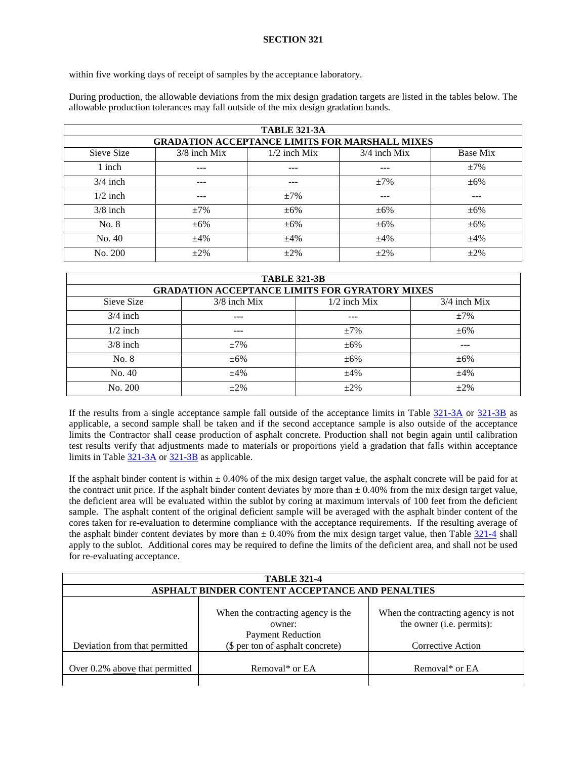within five working days of receipt of samples by the acceptance laboratory.

During production, the allowable deviations from the mix design gradation targets are listed in the tables below. The allowable production tolerances may fall outside of the mix design gradation bands.

<span id="page-8-0"></span>

| <b>TABLE 321-3A</b> |                |                |                                                       |           |
|---------------------|----------------|----------------|-------------------------------------------------------|-----------|
|                     |                |                | <b>GRADATION ACCEPTANCE LIMITS FOR MARSHALL MIXES</b> |           |
| Sieve Size          | $3/8$ inch Mix | $1/2$ inch Mix | $3/4$ inch Mix                                        | Base Mix  |
| 1 inch              | ---            | ---            | ---                                                   | $\pm 7\%$ |
| $3/4$ inch          | ---            | $- - -$        | $+7%$                                                 | $\pm 6\%$ |
| $1/2$ inch          | ---            | $\pm 7\%$      | ---                                                   | ---       |
| $3/8$ inch          | $+7%$          | $\pm 6\%$      | $\pm 6\%$                                             | $\pm 6\%$ |
| No. 8               | $\pm 6\%$      | $\pm 6\%$      | $\pm 6\%$                                             | $\pm 6\%$ |
| No. 40              | $\pm 4\%$      | $\pm 4\%$      | $\pm 4\%$                                             | $\pm 4\%$ |
| No. 200             | $\pm 2\%$      | $+2\%$         | $\pm 2\%$                                             | $+2\%$    |

<span id="page-8-1"></span>

| <b>TABLE 321-3B</b> |                |                                                       |                |
|---------------------|----------------|-------------------------------------------------------|----------------|
|                     |                | <b>GRADATION ACCEPTANCE LIMITS FOR GYRATORY MIXES</b> |                |
| Sieve Size          | $3/8$ inch Mix | $1/2$ inch Mix                                        | $3/4$ inch Mix |
| $3/4$ inch          | $- - -$        | $- - -$                                               | $\pm 7\%$      |
| $1/2$ inch          | $---$          | $\pm 7\%$                                             | $\pm 6\%$      |
| $3/8$ inch          | $\pm 7\%$      | $\pm 6\%$                                             |                |
| No. 8               | $\pm 6\%$      | $\pm 6\%$                                             | $\pm 6\%$      |
| No. 40              | $\pm 4\%$      | $\pm 4\%$                                             | $\pm 4\%$      |
| No. 200             | $\pm 2\%$      | $+2\%$                                                | $\pm 2\%$      |

If the results from a single acceptance sample fall outside of the acceptance limits in Table [321-3A](#page-8-0) or [321-3B](#page-8-1) as applicable, a second sample shall be taken and if the second acceptance sample is also outside of the acceptance limits the Contractor shall cease production of asphalt concrete. Production shall not begin again until calibration test results verify that adjustments made to materials or proportions yield a gradation that falls within acceptance limits in Table [321-3A](#page-8-0) o[r 321-3B](#page-8-1) as applicable.

If the asphalt binder content is within  $\pm 0.40\%$  of the mix design target value, the asphalt concrete will be paid for at the contract unit price. If the asphalt binder content deviates by more than  $\pm$  0.40% from the mix design target value, the deficient area will be evaluated within the sublot by coring at maximum intervals of 100 feet from the deficient sample. The asphalt content of the original deficient sample will be averaged with the asphalt binder content of the cores taken for re-evaluation to determine compliance with the acceptance requirements. If the resulting average of the asphalt binder content deviates by more than  $\pm$  0.40% from the mix design target value, then Table [321-4](#page-1-0) shall apply to the sublot. Additional cores may be required to define the limits of the deficient area, and shall not be used for re-evaluating acceptance.

| <b>TABLE 321-4</b>             |                                                                                                              |                                                                                      |  |
|--------------------------------|--------------------------------------------------------------------------------------------------------------|--------------------------------------------------------------------------------------|--|
|                                | ASPHALT BINDER CONTENT ACCEPTANCE AND PENALTIES                                                              |                                                                                      |  |
| Deviation from that permitted  | When the contracting agency is the<br>owner:<br><b>Payment Reduction</b><br>(\$ per ton of asphalt concrete) | When the contracting agency is not<br>the owner (i.e. permits):<br>Corrective Action |  |
| Over 0.2% above that permitted | Removal* or EA                                                                                               | Removal* or EA                                                                       |  |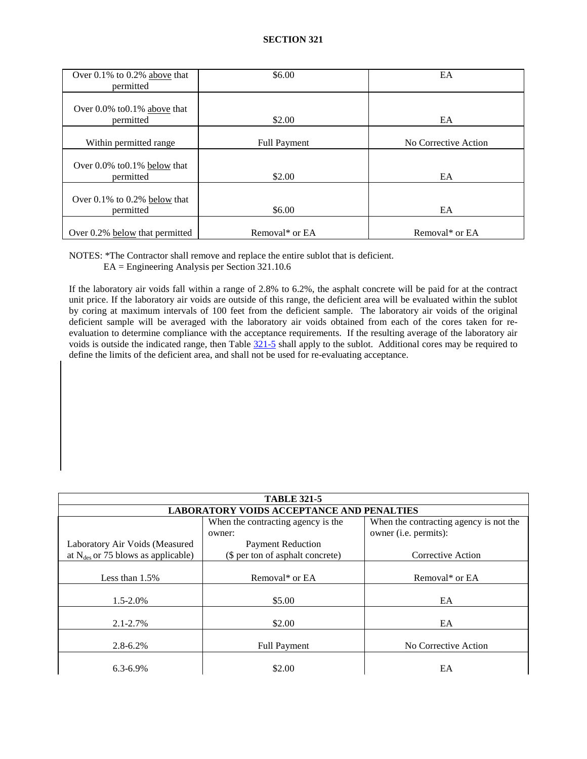| Over $0.1\%$ to $0.2\%$ above that<br>permitted | \$6.00              | EA                   |
|-------------------------------------------------|---------------------|----------------------|
| Over $0.0\%$ to $0.1\%$ above that<br>permitted | \$2.00              | EA                   |
| Within permitted range                          | <b>Full Payment</b> | No Corrective Action |
| Over 0.0% to 0.1% below that<br>permitted       | \$2.00              | EA                   |
| Over $0.1\%$ to $0.2\%$ below that<br>permitted | \$6.00              | EA                   |
| Over 0.2% below that permitted                  | Removal* or EA      | Removal* or EA       |

NOTES: \*The Contractor shall remove and replace the entire sublot that is deficient.

EA = Engineering Analysis per Section 321.10.6

If the laboratory air voids fall within a range of 2.8% to 6.2%, the asphalt concrete will be paid for at the contract unit price. If the laboratory air voids are outside of this range, the deficient area will be evaluated within the sublot by coring at maximum intervals of 100 feet from the deficient sample. The laboratory air voids of the original deficient sample will be averaged with the laboratory air voids obtained from each of the cores taken for reevaluation to determine compliance with the acceptance requirements. If the resulting average of the laboratory air voids is outside the indicated range, then Table [321-5](#page-6-0) shall apply to the sublot. Additional cores may be required to define the limits of the deficient area, and shall not be used for re-evaluating acceptance.

| <b>TABLE 321-5</b>                               |                                    |                                        |  |
|--------------------------------------------------|------------------------------------|----------------------------------------|--|
| <b>LABORATORY VOIDS ACCEPTANCE AND PENALTIES</b> |                                    |                                        |  |
|                                                  | When the contracting agency is the | When the contracting agency is not the |  |
|                                                  | owner:                             | owner (i.e. permits):                  |  |
| Laboratory Air Voids (Measured                   | <b>Payment Reduction</b>           |                                        |  |
| at $N_{des}$ or 75 blows as applicable)          | (\$ per ton of asphalt concrete)   | Corrective Action                      |  |
|                                                  |                                    |                                        |  |
| Less than $1.5\%$                                | Removal* or EA                     | Removal* or EA                         |  |
|                                                  |                                    |                                        |  |
| $1.5 - 2.0\%$                                    | \$5.00                             | EA                                     |  |
|                                                  |                                    |                                        |  |
| $2.1 - 2.7\%$                                    | \$2.00                             | EA                                     |  |
|                                                  |                                    |                                        |  |
| $2.8 - 6.2\%$                                    | <b>Full Payment</b>                | No Corrective Action                   |  |
|                                                  |                                    |                                        |  |
| $6.3 - 6.9\%$                                    | \$2.00                             | EA                                     |  |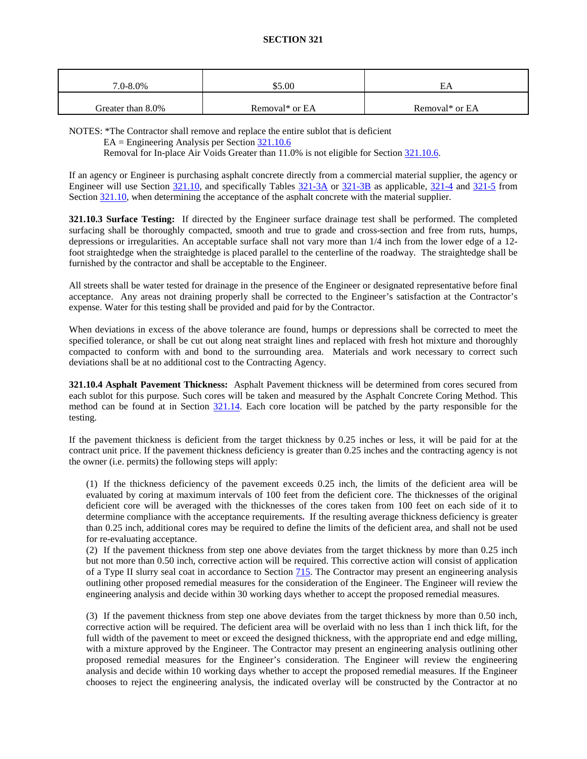| 7.0-8.0%          | \$5.00         | EΑ             |
|-------------------|----------------|----------------|
| Greater than 8.0% | Removal* or EA | Removal* or EA |

NOTES: \*The Contractor shall remove and replace the entire sublot that is deficient

EA = Engineering Analysis per Sectio[n 321.10.6](#page-12-0)

Removal for In-place Air Voids Greater than 11.0% is not eligible for Section [321.10.6.](#page-12-0)

If an agency or Engineer is purchasing asphalt concrete directly from a commercial material supplier, the agency or Engineer will use Section [321.10,](#page-7-0) and specifically Tables [321-3A](#page-8-0) or [321-3B](#page-8-1) as applicable, [321-4](#page-1-0) and [321-5](#page-6-0) from Section [321.10,](#page-7-0) when determining the acceptance of the asphalt concrete with the material supplier.

**321.10.3 Surface Testing:** If directed by the Engineer surface drainage test shall be performed. The completed surfacing shall be thoroughly compacted, smooth and true to grade and cross-section and free from ruts, humps, depressions or irregularities. An acceptable surface shall not vary more than 1/4 inch from the lower edge of a 12 foot straightedge when the straightedge is placed parallel to the centerline of the roadway. The straightedge shall be furnished by the contractor and shall be acceptable to the Engineer.

All streets shall be water tested for drainage in the presence of the Engineer or designated representative before final acceptance. Any areas not draining properly shall be corrected to the Engineer's satisfaction at the Contractor's expense. Water for this testing shall be provided and paid for by the Contractor.

When deviations in excess of the above tolerance are found, humps or depressions shall be corrected to meet the specified tolerance, or shall be cut out along neat straight lines and replaced with fresh hot mixture and thoroughly compacted to conform with and bond to the surrounding area. Materials and work necessary to correct such deviations shall be at no additional cost to the Contracting Agency.

**321.10.4 Asphalt Pavement Thickness:** Asphalt Pavement thickness will be determined from cores secured from each sublot for this purpose. Such cores will be taken and measured by the Asphalt Concrete Coring Method. This method can be found at in Section [321.14.](#page-14-0) Each core location will be patched by the party responsible for the testing.

If the pavement thickness is deficient from the target thickness by 0.25 inches or less, it will be paid for at the contract unit price. If the pavement thickness deficiency is greater than 0.25 inches and the contracting agency is not the owner (i.e. permits) the following steps will apply:

(1) If the thickness deficiency of the pavement exceeds 0.25 inch, the limits of the deficient area will be evaluated by coring at maximum intervals of 100 feet from the deficient core. The thicknesses of the original deficient core will be averaged with the thicknesses of the cores taken from 100 feet on each side of it to determine compliance with the acceptance requirements**.** If the resulting average thickness deficiency is greater than 0.25 inch, additional cores may be required to define the limits of the deficient area, and shall not be used for re-evaluating acceptance.

(2) If the pavement thickness from step one above deviates from the target thickness by more than 0.25 inch but not more than 0.50 inch, corrective action will be required. This corrective action will consist of application of a Type II slurry seal coat in accordance to Section 715. The Contractor may present an engineering analysis outlining other proposed remedial measures for the consideration of the Engineer. The Engineer will review the engineering analysis and decide within 30 working days whether to accept the proposed remedial measures.

(3) If the pavement thickness from step one above deviates from the target thickness by more than 0.50 inch, corrective action will be required. The deficient area will be overlaid with no less than 1 inch thick lift, for the full width of the pavement to meet or exceed the designed thickness, with the appropriate end and edge milling, with a mixture approved by the Engineer. The Contractor may present an engineering analysis outlining other proposed remedial measures for the Engineer's consideration. The Engineer will review the engineering analysis and decide within 10 working days whether to accept the proposed remedial measures. If the Engineer chooses to reject the engineering analysis, the indicated overlay will be constructed by the Contractor at no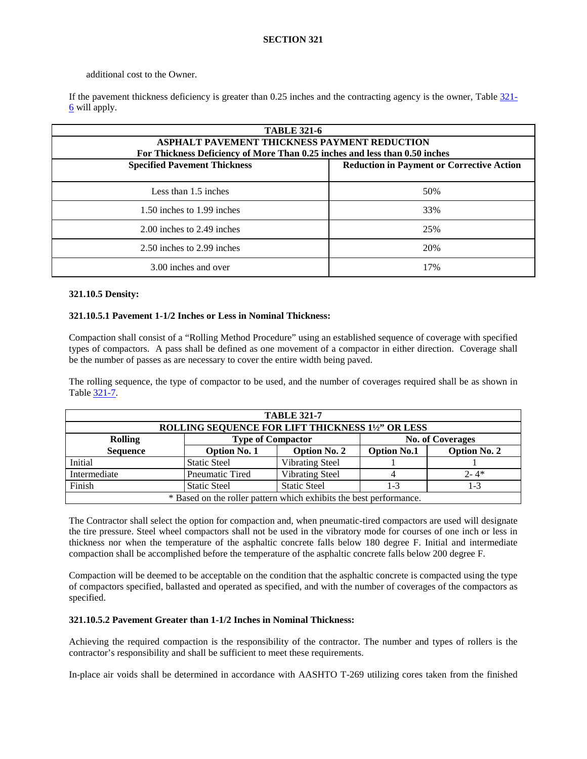## additional cost to the Owner.

If the pavement thickness deficiency is greater than 0.25 inches and the contracting agency is the owner, Tabl[e 321-](#page-7-1) [6](#page-7-1) will apply.

| <b>TABLE 321-6</b>                                                          |                                                  |  |  |
|-----------------------------------------------------------------------------|--------------------------------------------------|--|--|
| <b>ASPHALT PAVEMENT THICKNESS PAYMENT REDUCTION</b>                         |                                                  |  |  |
| For Thickness Deficiency of More Than 0.25 inches and less than 0.50 inches |                                                  |  |  |
| <b>Specified Pavement Thickness</b>                                         | <b>Reduction in Payment or Corrective Action</b> |  |  |
|                                                                             |                                                  |  |  |
| Less than 1.5 inches                                                        | 50%                                              |  |  |
| 1.50 inches to 1.99 inches                                                  | 33%                                              |  |  |
|                                                                             |                                                  |  |  |
| 2.00 inches to 2.49 inches                                                  | 25%                                              |  |  |
| 2.50 inches to 2.99 inches                                                  | 20%                                              |  |  |
| 3.00 inches and over                                                        | 17%                                              |  |  |

#### **321.10.5 Density:**

## **321.10.5.1 Pavement 1-1/2 Inches or Less in Nominal Thickness:**

Compaction shall consist of a "Rolling Method Procedure" using an established sequence of coverage with specified types of compactors. A pass shall be defined as one movement of a compactor in either direction. Coverage shall be the number of passes as are necessary to cover the entire width being paved.

The rolling sequence, the type of compactor to be used, and the number of coverages required shall be as shown in Table [321-7.](#page-11-0)

<span id="page-11-0"></span>

| <b>TABLE 321-7</b>                                                 |                                                                                         |                          |         |                         |
|--------------------------------------------------------------------|-----------------------------------------------------------------------------------------|--------------------------|---------|-------------------------|
|                                                                    | ROLLING SEQUENCE FOR LIFT THICKNESS 1½" OR LESS                                         |                          |         |                         |
| <b>Rolling</b>                                                     |                                                                                         | <b>Type of Compactor</b> |         | <b>No. of Coverages</b> |
| <b>Sequence</b>                                                    | <b>Option No. 2</b><br><b>Option No. 1</b><br><b>Option No. 2</b><br><b>Option No.1</b> |                          |         |                         |
| Initial                                                            | <b>Static Steel</b>                                                                     | Vibrating Steel          |         |                         |
| Intermediate                                                       | <b>Pneumatic Tired</b>                                                                  | <b>Vibrating Steel</b>   |         | $2 - 4*$                |
| Finish                                                             | <b>Static Steel</b>                                                                     | <b>Static Steel</b>      | $1 - 3$ | $1 - 3$                 |
| * Based on the roller pattern which exhibits the best performance. |                                                                                         |                          |         |                         |

The Contractor shall select the option for compaction and, when pneumatic-tired compactors are used will designate the tire pressure. Steel wheel compactors shall not be used in the vibratory mode for courses of one inch or less in thickness nor when the temperature of the asphaltic concrete falls below 180 degree F. Initial and intermediate compaction shall be accomplished before the temperature of the asphaltic concrete falls below 200 degree F.

Compaction will be deemed to be acceptable on the condition that the asphaltic concrete is compacted using the type of compactors specified, ballasted and operated as specified, and with the number of coverages of the compactors as specified.

#### **321.10.5.2 Pavement Greater than 1-1/2 Inches in Nominal Thickness:**

Achieving the required compaction is the responsibility of the contractor. The number and types of rollers is the contractor's responsibility and shall be sufficient to meet these requirements.

In-place air voids shall be determined in accordance with AASHTO T-269 utilizing cores taken from the finished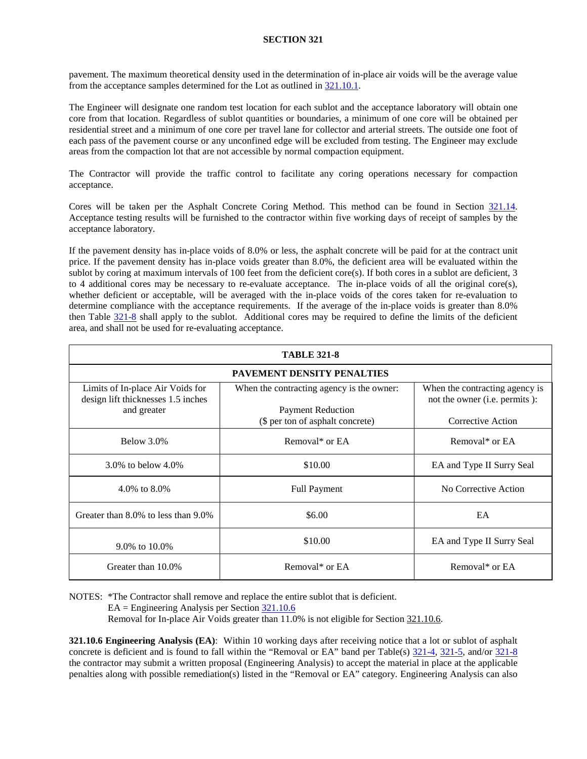pavement. The maximum theoretical density used in the determination of in-place air voids will be the average value from the acceptance samples determined for the Lot as outlined in [321.10.1.](#page-7-2)

The Engineer will designate one random test location for each sublot and the acceptance laboratory will obtain one core from that location. Regardless of sublot quantities or boundaries, a minimum of one core will be obtained per residential street and a minimum of one core per travel lane for collector and arterial streets. The outside one foot of each pass of the pavement course or any unconfined edge will be excluded from testing. The Engineer may exclude areas from the compaction lot that are not accessible by normal compaction equipment.

The Contractor will provide the traffic control to facilitate any coring operations necessary for compaction acceptance.

Cores will be taken per the Asphalt Concrete Coring Method. This method can be found in Section [321.14.](#page-14-0) Acceptance testing results will be furnished to the contractor within five working days of receipt of samples by the acceptance laboratory.

If the pavement density has in-place voids of 8.0% or less, the asphalt concrete will be paid for at the contract unit price. If the pavement density has in-place voids greater than 8.0%, the deficient area will be evaluated within the sublot by coring at maximum intervals of 100 feet from the deficient core(s). If both cores in a sublot are deficient,  $3$ to 4 additional cores may be necessary to re-evaluate acceptance. The in-place voids of all the original core(s), whether deficient or acceptable, will be averaged with the in-place voids of the cores taken for re-evaluation to determine compliance with the acceptance requirements. If the average of the in-place voids is greater than 8.0% then Table 321-8 shall apply to the sublot. Additional cores may be required to define the limits of the deficient area, and shall not be used for re-evaluating acceptance.

| <b>TABLE 321-8</b>                                                                    |                                                                       |                                                                          |  |
|---------------------------------------------------------------------------------------|-----------------------------------------------------------------------|--------------------------------------------------------------------------|--|
|                                                                                       | <b>PAVEMENT DENSITY PENALTIES</b>                                     |                                                                          |  |
| Limits of In-place Air Voids for<br>design lift thicknesses 1.5 inches<br>and greater | When the contracting agency is the owner:<br><b>Payment Reduction</b> | When the contracting agency is<br>not the owner ( <i>i.e.</i> permits ): |  |
|                                                                                       | (\$ per ton of asphalt concrete)                                      | Corrective Action                                                        |  |
| Below 3.0%                                                                            | Removal* or EA                                                        | Removal* or EA                                                           |  |
| 3.0% to below $4.0\%$                                                                 | \$10.00                                                               | EA and Type II Surry Seal                                                |  |
| 4.0% to 8.0%                                                                          | <b>Full Payment</b>                                                   | No Corrective Action                                                     |  |
| Greater than 8.0% to less than 9.0%                                                   | \$6.00                                                                | EA                                                                       |  |
| 9.0% to 10.0%                                                                         | \$10.00                                                               | EA and Type II Surry Seal                                                |  |
| Greater than 10.0%                                                                    | Removal* or EA                                                        | Removal* or EA                                                           |  |

NOTES: \*The Contractor shall remove and replace the entire sublot that is deficient.

EA = Engineering Analysis per Section [321.10.6](#page-12-0)

Removal for In-place Air Voids greater than 11.0% is not eligible for Sectio[n 321.10.6.](#page-12-0)

<span id="page-12-0"></span>**321.10.6 Engineering Analysis (EA)**: Within 10 working days after receiving notice that a lot or sublot of asphalt concrete is deficient and is found to fall within the "Removal or EA" band per Table(s)  $\frac{321-4}{21-5}$ , and/or  $\frac{321-8}{21-8}$ the contractor may submit a written proposal (Engineering Analysis) to accept the material in place at the applicable penalties along with possible remediation(s) listed in the "Removal or EA" category. Engineering Analysis can also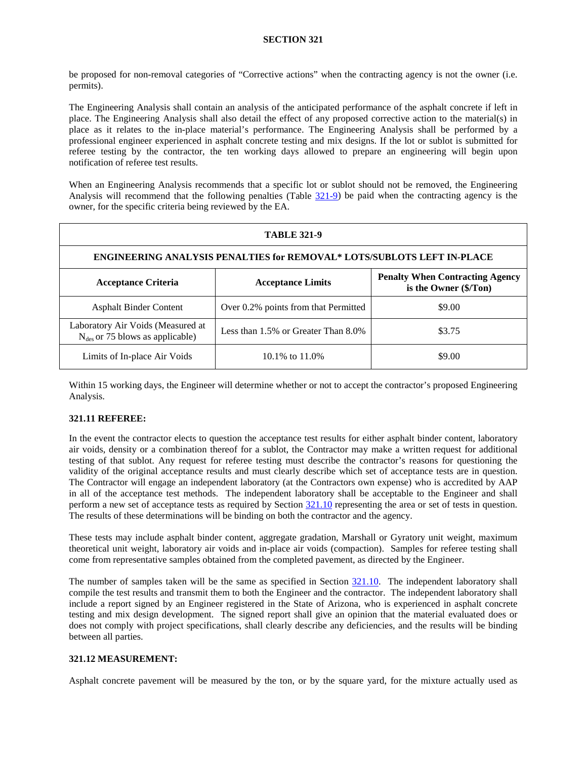be proposed for non-removal categories of "Corrective actions" when the contracting agency is not the owner (i.e. permits).

The Engineering Analysis shall contain an analysis of the anticipated performance of the asphalt concrete if left in place. The Engineering Analysis shall also detail the effect of any proposed corrective action to the material(s) in place as it relates to the in-place material's performance. The Engineering Analysis shall be performed by a professional engineer experienced in asphalt concrete testing and mix designs. If the lot or sublot is submitted for referee testing by the contractor, the ten working days allowed to prepare an engineering will begin upon notification of referee test results.

When an Engineering Analysis recommends that a specific lot or sublot should not be removed, the Engineering Analysis will recommend that the following penalties (Table [321-9\)](#page-13-0) be paid when the contracting agency is the owner, for the specific criteria being reviewed by the EA.

<span id="page-13-0"></span>

| <b>TABLE 321-9</b>                                                                                                        |                                      |        |  |
|---------------------------------------------------------------------------------------------------------------------------|--------------------------------------|--------|--|
| <b>ENGINEERING ANALYSIS PENALTIES for REMOVAL* LOTS/SUBLOTS LEFT IN-PLACE</b>                                             |                                      |        |  |
| <b>Penalty When Contracting Agency</b><br><b>Acceptance Limits</b><br><b>Acceptance Criteria</b><br>is the Owner (\$/Ton) |                                      |        |  |
| <b>Asphalt Binder Content</b>                                                                                             | Over 0.2% points from that Permitted | \$9.00 |  |
| Laboratory Air Voids (Measured at<br>$N_{des}$ or 75 blows as applicable)                                                 | Less than 1.5% or Greater Than 8.0%  | \$3.75 |  |
| Limits of In-place Air Voids                                                                                              | 10.1\% to 11.0\%                     | \$9.00 |  |

Within 15 working days, the Engineer will determine whether or not to accept the contractor's proposed Engineering Analysis.

## **321.11 REFEREE:**

In the event the contractor elects to question the acceptance test results for either asphalt binder content, laboratory air voids, density or a combination thereof for a sublot, the Contractor may make a written request for additional testing of that sublot. Any request for referee testing must describe the contractor's reasons for questioning the validity of the original acceptance results and must clearly describe which set of acceptance tests are in question. The Contractor will engage an independent laboratory (at the Contractors own expense) who is accredited by AAP in all of the acceptance test methods. The independent laboratory shall be acceptable to the Engineer and shall perform a new set of acceptance tests as required by Section [321.10](#page-7-0) representing the area or set of tests in question. The results of these determinations will be binding on both the contractor and the agency.

These tests may include asphalt binder content, aggregate gradation, Marshall or Gyratory unit weight, maximum theoretical unit weight, laboratory air voids and in-place air voids (compaction). Samples for referee testing shall come from representative samples obtained from the completed pavement, as directed by the Engineer.

The number of samples taken will be the same as specified in Section [321.10.](#page-7-0) The independent laboratory shall compile the test results and transmit them to both the Engineer and the contractor. The independent laboratory shall include a report signed by an Engineer registered in the State of Arizona, who is experienced in asphalt concrete testing and mix design development. The signed report shall give an opinion that the material evaluated does or does not comply with project specifications, shall clearly describe any deficiencies, and the results will be binding between all parties.

## **321.12 MEASUREMENT:**

Asphalt concrete pavement will be measured by the ton, or by the square yard, for the mixture actually used as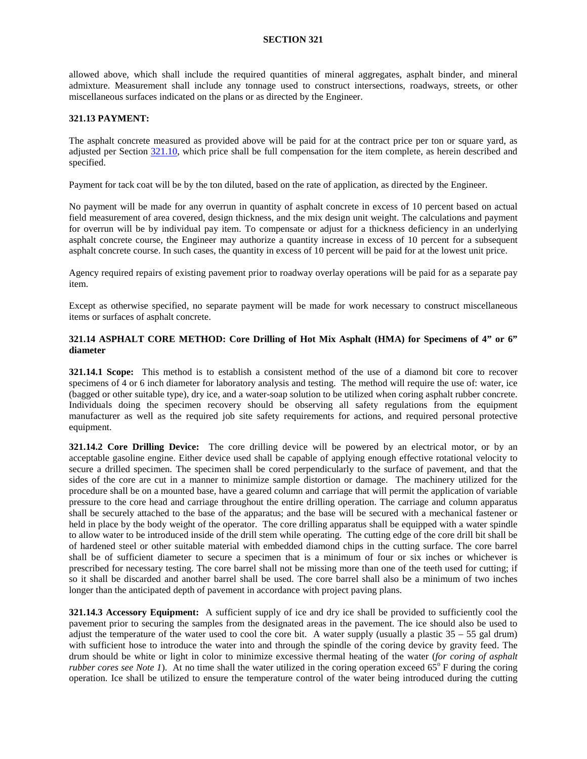allowed above, which shall include the required quantities of mineral aggregates, asphalt binder, and mineral admixture. Measurement shall include any tonnage used to construct intersections, roadways, streets, or other miscellaneous surfaces indicated on the plans or as directed by the Engineer.

## **321.13 PAYMENT:**

The asphalt concrete measured as provided above will be paid for at the contract price per ton or square yard, as adjusted per Section [321.10,](#page-7-0) which price shall be full compensation for the item complete, as herein described and specified.

Payment for tack coat will be by the ton diluted, based on the rate of application, as directed by the Engineer.

No payment will be made for any overrun in quantity of asphalt concrete in excess of 10 percent based on actual field measurement of area covered, design thickness, and the mix design unit weight. The calculations and payment for overrun will be by individual pay item. To compensate or adjust for a thickness deficiency in an underlying asphalt concrete course, the Engineer may authorize a quantity increase in excess of 10 percent for a subsequent asphalt concrete course. In such cases, the quantity in excess of 10 percent will be paid for at the lowest unit price.

Agency required repairs of existing pavement prior to roadway overlay operations will be paid for as a separate pay item.

Except as otherwise specified, no separate payment will be made for work necessary to construct miscellaneous items or surfaces of asphalt concrete.

## <span id="page-14-0"></span>**321.14 ASPHALT CORE METHOD: Core Drilling of Hot Mix Asphalt (HMA) for Specimens of 4" or 6" diameter**

**321.14.1 Scope:** This method is to establish a consistent method of the use of a diamond bit core to recover specimens of 4 or 6 inch diameter for laboratory analysis and testing. The method will require the use of: water, ice (bagged or other suitable type), dry ice, and a water-soap solution to be utilized when coring asphalt rubber concrete. Individuals doing the specimen recovery should be observing all safety regulations from the equipment manufacturer as well as the required job site safety requirements for actions, and required personal protective equipment.

**321.14.2 Core Drilling Device:** The core drilling device will be powered by an electrical motor, or by an acceptable gasoline engine. Either device used shall be capable of applying enough effective rotational velocity to secure a drilled specimen. The specimen shall be cored perpendicularly to the surface of pavement, and that the sides of the core are cut in a manner to minimize sample distortion or damage. The machinery utilized for the procedure shall be on a mounted base, have a geared column and carriage that will permit the application of variable pressure to the core head and carriage throughout the entire drilling operation. The carriage and column apparatus shall be securely attached to the base of the apparatus; and the base will be secured with a mechanical fastener or held in place by the body weight of the operator. The core drilling apparatus shall be equipped with a water spindle to allow water to be introduced inside of the drill stem while operating. The cutting edge of the core drill bit shall be of hardened steel or other suitable material with embedded diamond chips in the cutting surface. The core barrel shall be of sufficient diameter to secure a specimen that is a minimum of four or six inches or whichever is prescribed for necessary testing. The core barrel shall not be missing more than one of the teeth used for cutting; if so it shall be discarded and another barrel shall be used. The core barrel shall also be a minimum of two inches longer than the anticipated depth of pavement in accordance with project paving plans.

**321.14.3 Accessory Equipment:** A sufficient supply of ice and dry ice shall be provided to sufficiently cool the pavement prior to securing the samples from the designated areas in the pavement. The ice should also be used to adjust the temperature of the water used to cool the core bit. A water supply (usually a plastic  $35 - 55$  gal drum) with sufficient hose to introduce the water into and through the spindle of the coring device by gravity feed. The drum should be white or light in color to minimize excessive thermal heating of the water (*for coring of asphalt rubber cores see Note 1*). At no time shall the water utilized in the coring operation exceed  $65^{\circ}$  F during the coring operation. Ice shall be utilized to ensure the temperature control of the water being introduced during the cutting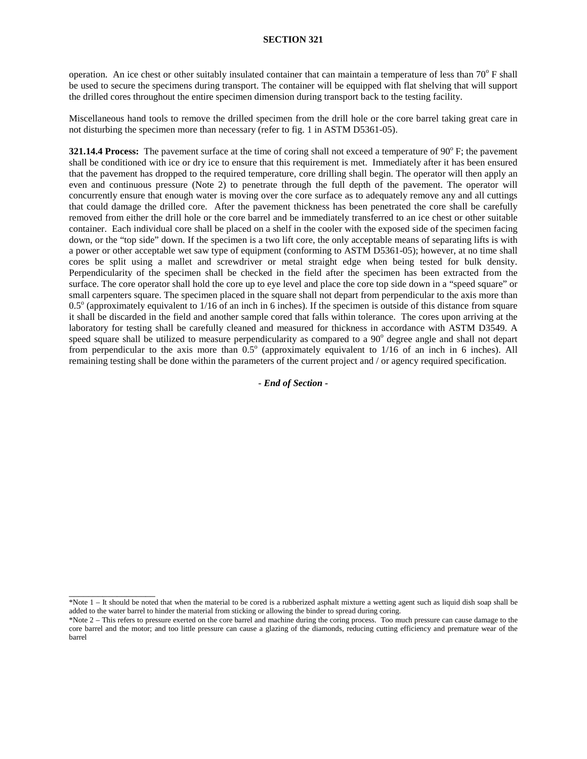operation. An ice chest or other suitably insulated container that can maintain a temperature of less than  $70^{\circ}$  F shall be used to secure the specimens during transport. The container will be equipped with flat shelving that will support the drilled cores throughout the entire specimen dimension during transport back to the testing facility.

Miscellaneous hand tools to remove the drilled specimen from the drill hole or the core barrel taking great care in not disturbing the specimen more than necessary (refer to fig. 1 in ASTM D5361-05).

**321.14.4 Process:** The pavement surface at the time of coring shall not exceed a temperature of 90<sup>o</sup> F; the pavement shall be conditioned with ice or dry ice to ensure that this requirement is met. Immediately after it has been ensured that the pavement has dropped to the required temperature, core drilling shall begin. The operator will then apply an even and continuous pressure (Note 2) to penetrate through the full depth of the pavement. The operator will concurrently ensure that enough water is moving over the core surface as to adequately remove any and all cuttings that could damage the drilled core. After the pavement thickness has been penetrated the core shall be carefully removed from either the drill hole or the core barrel and be immediately transferred to an ice chest or other suitable container. Each individual core shall be placed on a shelf in the cooler with the exposed side of the specimen facing down, or the "top side" down. If the specimen is a two lift core, the only acceptable means of separating lifts is with a power or other acceptable wet saw type of equipment (conforming to ASTM D5361-05); however, at no time shall cores be split using a mallet and screwdriver or metal straight edge when being tested for bulk density. Perpendicularity of the specimen shall be checked in the field after the specimen has been extracted from the surface. The core operator shall hold the core up to eye level and place the core top side down in a "speed square" or small carpenters square. The specimen placed in the square shall not depart from perpendicular to the axis more than  $0.5^\circ$  (approximately equivalent to  $1/16$  of an inch in 6 inches). If the specimen is outside of this distance from square it shall be discarded in the field and another sample cored that falls within tolerance. The cores upon arriving at the laboratory for testing shall be carefully cleaned and measured for thickness in accordance with ASTM D3549. A speed square shall be utilized to measure perpendicularity as compared to a 90<sup>o</sup> degree angle and shall not depart from perpendicular to the axis more than  $0.5^{\circ}$  (approximately equivalent to  $1/16$  of an inch in 6 inches). All remaining testing shall be done within the parameters of the current project and / or agency required specification.

*- End of Section -*

\_\_\_\_\_\_\_\_\_\_\_\_\_\_\_\_\_\_

<sup>\*</sup>Note 1 – It should be noted that when the material to be cored is a rubberized asphalt mixture a wetting agent such as liquid dish soap shall be added to the water barrel to hinder the material from sticking or allowing the binder to spread during coring.

<sup>\*</sup>Note 2 – This refers to pressure exerted on the core barrel and machine during the coring process. Too much pressure can cause damage to the core barrel and the motor; and too little pressure can cause a glazing of the diamonds, reducing cutting efficiency and premature wear of the barrel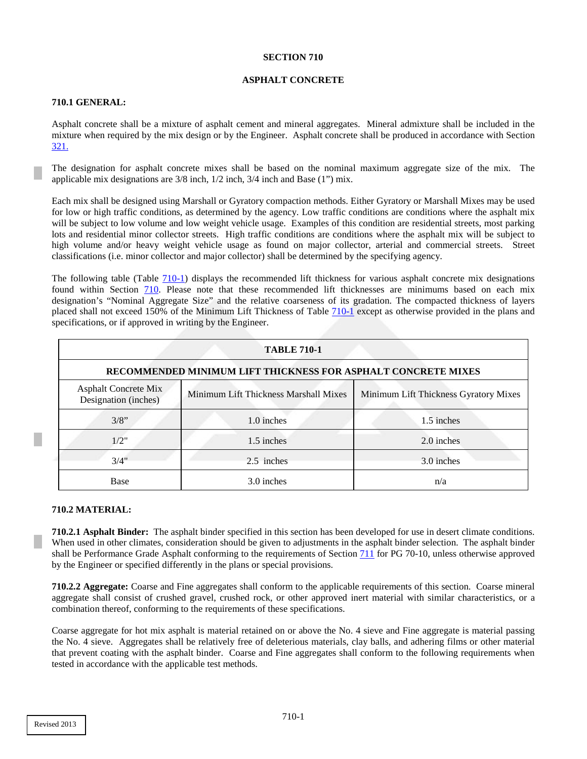#### **ASPHALT CONCRETE**

# <span id="page-16-0"></span>**710.1 GENERAL:**

Asphalt concrete shall be a mixture of asphalt cement and mineral aggregates. Mineral admixture shall be included in the mixture when required by the mix design or by the Engineer. Asphalt concrete shall be produced in accordance with Section 321.

The designation for asphalt concrete mixes shall be based on the nominal maximum aggregate size of the mix. The applicable mix designations are 3/8 inch, 1/2 inch, 3/4 inch and Base (1") mix.

Each mix shall be designed using Marshall or Gyratory compaction methods. Either Gyratory or Marshall Mixes may be used for low or high traffic conditions, as determined by the agency. Low traffic conditions are conditions where the asphalt mix will be subject to low volume and low weight vehicle usage. Examples of this condition are residential streets, most parking lots and residential minor collector streets. High traffic conditions are conditions where the asphalt mix will be subject to high volume and/or heavy weight vehicle usage as found on major collector, arterial and commercial streets. Street classifications (i.e. minor collector and major collector) shall be determined by the specifying agency.

The following table (Table [710-1\)](#page-16-0) displays the recommended lift thickness for various asphalt concrete mix designations found within Section [710.](#page-16-0) Please note that these recommended lift thicknesses are minimums based on each mix designation's "Nominal Aggregate Size" and the relative coarseness of its gradation. The compacted thickness of layers placed shall not exceed 150% of the Minimum Lift Thickness of Table [710-1](#page-16-0) except as otherwise provided in the plans and specifications, or if approved in writing by the Engineer.

| <b>TABLE 710-1</b>                                            |                                       |                                       |  |
|---------------------------------------------------------------|---------------------------------------|---------------------------------------|--|
| RECOMMENDED MINIMUM LIFT THICKNESS FOR ASPHALT CONCRETE MIXES |                                       |                                       |  |
| <b>Asphalt Concrete Mix</b><br>Designation (inches)           | Minimum Lift Thickness Marshall Mixes | Minimum Lift Thickness Gyratory Mixes |  |
| 3/8"                                                          | 1.0 inches                            | 1.5 inches                            |  |
| 1/2"                                                          | 1.5 inches                            | 2.0 inches                            |  |
| 3/4"                                                          | 2.5 inches                            | 3.0 inches                            |  |
| Base                                                          | 3.0 inches                            | n/a                                   |  |

#### **710.2 MATERIAL:**

**710.2.1 Asphalt Binder:** The asphalt binder specified in this section has been developed for use in desert climate conditions. When used in other climates, consideration should be given to adjustments in the asphalt binder selection. The asphalt binder shall be Performance Grade Asphalt conforming to the requirements of Section 711 for PG 70-10, unless otherwise approved by the Engineer or specified differently in the plans or special provisions.

**710.2.2 Aggregate:** Coarse and Fine aggregates shall conform to the applicable requirements of this section. Coarse mineral aggregate shall consist of crushed gravel, crushed rock, or other approved inert material with similar characteristics, or a combination thereof, conforming to the requirements of these specifications.

Coarse aggregate for hot mix asphalt is material retained on or above the No. 4 sieve and Fine aggregate is material passing the No. 4 sieve. Aggregates shall be relatively free of deleterious materials, clay balls, and adhering films or other material that prevent coating with the asphalt binder. Coarse and Fine aggregates shall conform to the following requirements when tested in accordance with the applicable test methods.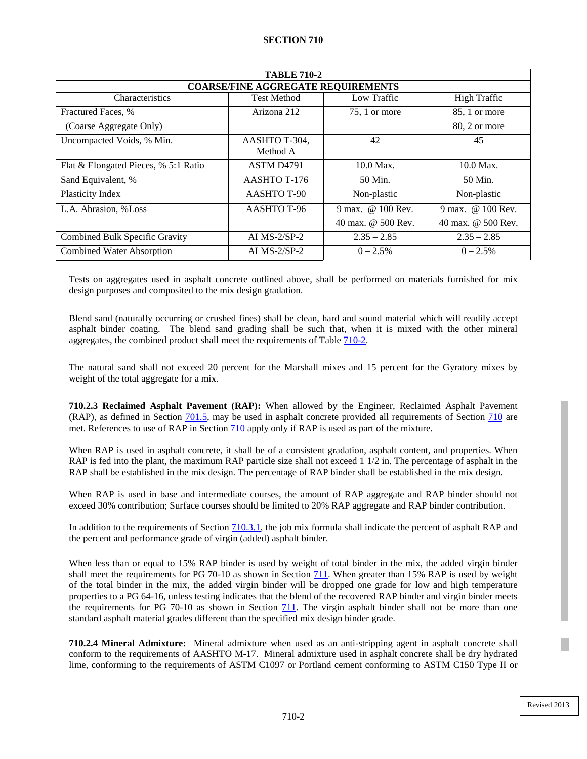| <b>TABLE 710-2</b>                        |                           |                    |                     |  |  |  |
|-------------------------------------------|---------------------------|--------------------|---------------------|--|--|--|
| <b>COARSE/FINE AGGREGATE REQUIREMENTS</b> |                           |                    |                     |  |  |  |
| Characteristics                           | <b>Test Method</b>        | Low Traffic        | <b>High Traffic</b> |  |  |  |
| Fractured Faces, %                        | Arizona 212               | $75$ , 1 or more   | 85, 1 or more       |  |  |  |
| (Coarse Aggregate Only)                   |                           |                    | 80, 2 or more       |  |  |  |
| Uncompacted Voids, % Min.                 | AASHTO T-304,<br>Method A | 42                 | 45                  |  |  |  |
| Flat & Elongated Pieces, % 5:1 Ratio      | ASTM D4791                | $10.0$ Max.        | $10.0$ Max.         |  |  |  |
| Sand Equivalent, %                        | AASHTO T-176              | 50 Min.            | 50 Min.             |  |  |  |
| Plasticity Index                          | <b>AASHTO T-90</b>        | Non-plastic        | Non-plastic         |  |  |  |
| L.A. Abrasion, %Loss                      | AASHTO T-96               | 9 max. @ 100 Rev.  | 9 max. @ 100 Rev.   |  |  |  |
|                                           |                           | 40 max. @ 500 Rev. | 40 max. @ 500 Rev.  |  |  |  |
| Combined Bulk Specific Gravity            | AI $MS-2/SP-2$            | $2.35 - 2.85$      | $2.35 - 2.85$       |  |  |  |
| <b>Combined Water Absorption</b>          | AI $MS-2/SP-2$            | $0 - 2.5\%$        | $0 - 2.5\%$         |  |  |  |

Tests on aggregates used in asphalt concrete outlined above, shall be performed on materials furnished for mix design purposes and composited to the mix design gradation.

Blend sand (naturally occurring or crushed fines) shall be clean, hard and sound material which will readily accept asphalt binder coating. The blend sand grading shall be such that, when it is mixed with the other mineral aggregates, the combined product shall meet the requirements of Table [710-2.](#page-17-0)

The natural sand shall not exceed 20 percent for the Marshall mixes and 15 percent for the Gyratory mixes by weight of the total aggregate for a mix.

**710.2.3 Reclaimed Asphalt Pavement (RAP):** When allowed by the Engineer, Reclaimed Asphalt Pavement (RAP), as defined in Section 701.5, may be used in asphalt concrete provided all requirements of Section [710](#page-16-0) are met. References to use of RAP in Sectio[n 710](#page-16-0) apply only if RAP is used as part of the mixture.

When RAP is used in asphalt concrete, it shall be of a consistent gradation, asphalt content, and properties. When RAP is fed into the plant, the maximum RAP particle size shall not exceed 1 1/2 in. The percentage of asphalt in the RAP shall be established in the mix design. The percentage of RAP binder shall be established in the mix design.

When RAP is used in base and intermediate courses, the amount of RAP aggregate and RAP binder should not exceed 30% contribution; Surface courses should be limited to 20% RAP aggregate and RAP binder contribution.

In addition to the requirements of Sectio[n 710.3.1,](#page-18-0) the job mix formula shall indicate the percent of asphalt RAP and the percent and performance grade of virgin (added) asphalt binder.

When less than or equal to 15% RAP binder is used by weight of total binder in the mix, the added virgin binder shall meet the requirements for PG 70-10 as shown in Section 711. When greater than 15% RAP is used by weight of the total binder in the mix, the added virgin binder will be dropped one grade for low and high temperature properties to a PG 64-16, unless testing indicates that the blend of the recovered RAP binder and virgin binder meets the requirements for PG 70-10 as shown in Section 711. The virgin asphalt binder shall not be more than one standard asphalt material grades different than the specified mix design binder grade.

<span id="page-17-0"></span>**710.2.4 Mineral Admixture:** Mineral admixture when used as an anti-stripping agent in asphalt concrete shall conform to the requirements of AASHTO M-17. Mineral admixture used in asphalt concrete shall be dry hydrated lime, conforming to the requirements of ASTM C1097 or Portland cement conforming to ASTM C150 Type II or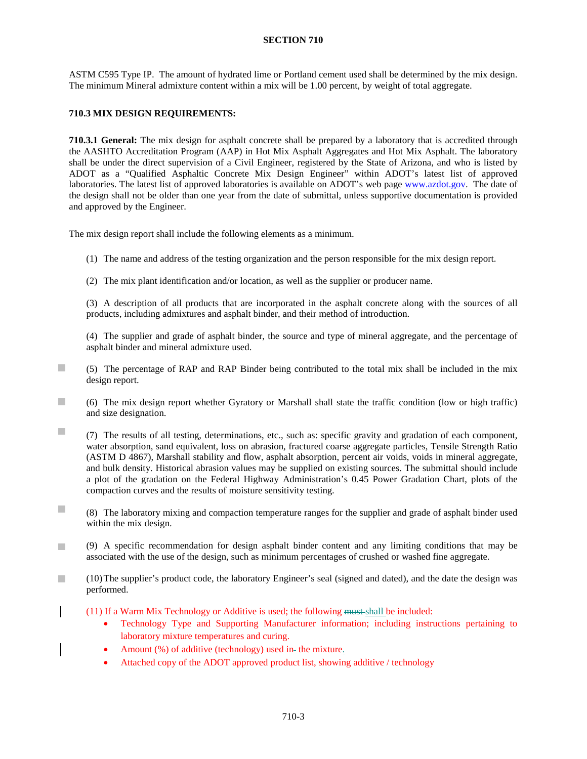ASTM C595 Type IP. The amount of hydrated lime or Portland cement used shall be determined by the mix design. The minimum Mineral admixture content within a mix will be 1.00 percent, by weight of total aggregate.

# <span id="page-18-0"></span>**710.3 MIX DESIGN REQUIREMENTS:**

**710.3.1 General:** The mix design for asphalt concrete shall be prepared by a laboratory that is accredited through the AASHTO Accreditation Program (AAP) in Hot Mix Asphalt Aggregates and Hot Mix Asphalt. The laboratory shall be under the direct supervision of a Civil Engineer, registered by the State of Arizona, and who is listed by ADOT as a "Qualified Asphaltic Concrete Mix Design Engineer" within ADOT's latest list of approved laboratories. The latest list of approved laboratories is available on ADOT's web page [www.azdot.gov.](http://www.azdot.gov/) The date of the design shall not be older than one year from the date of submittal, unless supportive documentation is provided and approved by the Engineer.

The mix design report shall include the following elements as a minimum.

- (1) The name and address of the testing organization and the person responsible for the mix design report.
- (2) The mix plant identification and/or location, as well as the supplier or producer name.

(3) A description of all products that are incorporated in the asphalt concrete along with the sources of all products, including admixtures and asphalt binder, and their method of introduction.

(4) The supplier and grade of asphalt binder, the source and type of mineral aggregate, and the percentage of asphalt binder and mineral admixture used.

- m. (5) The percentage of RAP and RAP Binder being contributed to the total mix shall be included in the mix design report.
- п (6) The mix design report whether Gyratory or Marshall shall state the traffic condition (low or high traffic) and size designation.
- m. (7) The results of all testing, determinations, etc., such as: specific gravity and gradation of each component, water absorption, sand equivalent, loss on abrasion, fractured coarse aggregate particles, Tensile Strength Ratio (ASTM D 4867), Marshall stability and flow, asphalt absorption, percent air voids, voids in mineral aggregate, and bulk density. Historical abrasion values may be supplied on existing sources. The submittal should include a plot of the gradation on the Federal Highway Administration's 0.45 Power Gradation Chart, plots of the compaction curves and the results of moisture sensitivity testing.
- $\mathcal{C}^{\mathcal{A}}$ (8) The laboratory mixing and compaction temperature ranges for the supplier and grade of asphalt binder used within the mix design.
- (9) A specific recommendation for design asphalt binder content and any limiting conditions that may be  $\Box$ associated with the use of the design, such as minimum percentages of crushed or washed fine aggregate.
- m. (10)The supplier's product code, the laboratory Engineer's seal (signed and dated), and the date the design was performed.
	- (11) If a Warm Mix Technology or Additive is used; the following must shall be included:
		- Technology Type and Supporting Manufacturer information; including instructions pertaining to laboratory mixture temperatures and curing.
		- Amount (%) of additive (technology) used in-the mixture.
		- Attached copy of the ADOT approved product list, showing additive / technology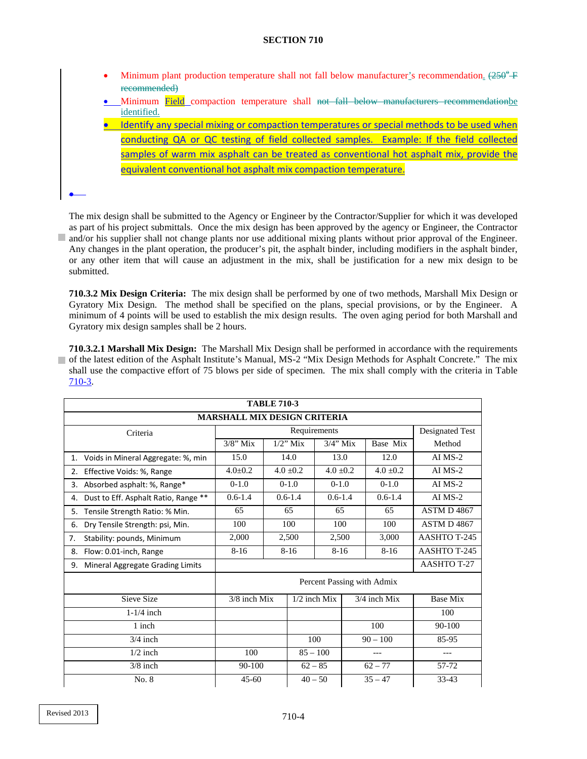- Minimum plant production temperature shall not fall below manufacturer's recommendation.  $(250^\circ \text{F})$ recommended)
- Minimum Field compaction temperature shall not fall below manufacturers recommendationbe identified.
- Identify any special mixing or compaction temperatures or special methods to be used when conducting QA or QC testing of field collected samples. Example: If the field collected samples of warm mix asphalt can be treated as conventional hot asphalt mix, provide the equivalent conventional hot asphalt mix compaction temperature.

The mix design shall be submitted to the Agency or Engineer by the Contractor/Supplier for which it was developed as part of his project submittals. Once the mix design has been approved by the agency or Engineer, the Contractor and/or his supplier shall not change plants nor use additional mixing plants without prior approval of the Engineer. Any changes in the plant operation, the producer's pit, the asphalt binder, including modifiers in the asphalt binder, or any other item that will cause an adjustment in the mix, shall be justification for a new mix design to be

**710.3.2 Mix Design Criteria:** The mix design shall be performed by one of two methods, Marshall Mix Design or Gyratory Mix Design. The method shall be specified on the plans, special provisions, or by the Engineer. A minimum of 4 points will be used to establish the mix design results. The oven aging period for both Marshall and Gyratory mix design samples shall be 2 hours.

<span id="page-19-0"></span>**710.3.2.1 Marshall Mix Design:** The Marshall Mix Design shall be performed in accordance with the requirements of the latest edition of the Asphalt Institute's Manual, MS-2 "Mix Design Methods for Asphalt Concrete." The mix shall use the compactive effort of 75 blows per side of specimen. The mix shall comply with the criteria in Table [710-3.](#page-19-0)

| <b>TABLE 710-3</b>                         |                                |              |                |                    |              |             |                    |
|--------------------------------------------|--------------------------------|--------------|----------------|--------------------|--------------|-------------|--------------------|
| <b>MARSHALL MIX DESIGN CRITERIA</b>        |                                |              |                |                    |              |             |                    |
| Criteria                                   |                                | Requirements |                |                    |              |             | Designated Test    |
|                                            | $3/8$ " Mix                    | $1/2$ " Mix  |                | $3/4$ " Mix        |              | Base Mix    | Method             |
| Voids in Mineral Aggregate: %, min<br>1.   | 15.0                           | 14.0         |                | 13.0               |              | 12.0        | $AI$ MS-2          |
| Effective Voids: %, Range<br>2.            | $4.0 \pm 0.2$<br>$4.0 \pm 0.2$ |              |                | $4.0 \pm 0.2$      |              | $4.0 + 0.2$ | $AI$ MS-2          |
| Absorbed asphalt: %, Range*<br>3.          | $0-1.0$<br>$0-1.0$             |              |                | $0-1.0$            |              | $0-1.0$     | $AI$ MS-2          |
| Dust to Eff. Asphalt Ratio, Range **<br>4. | $0.6 - 1.4$                    | $0.6 - 1.4$  |                | $0.6 - 1.4$        |              | $0.6 - 1.4$ | $AI$ MS-2          |
| Tensile Strength Ratio: % Min.<br>5.       | 65                             | 65           |                | 65                 |              | 65          | <b>ASTM D 4867</b> |
| Dry Tensile Strength: psi, Min.<br>6.      | 100                            | 100          |                | 100                |              | 100         | ASTM D4867         |
| Stability: pounds, Minimum<br>7.           | 2,000                          | 2,500        |                | 2,500              |              | 3,000       | AASHTO T-245       |
| Flow: 0.01-inch, Range<br>8.               | $8-16$                         | $8 - 16$     |                | $8 - 16$           |              | $8-16$      | AASHTO T-245       |
| Mineral Aggregate Grading Limits<br>9.     |                                |              |                | <b>AASHTO T-27</b> |              |             |                    |
|                                            | Percent Passing with Admix     |              |                |                    |              |             |                    |
| Sieve Size                                 | 3/8 inch Mix                   |              | $1/2$ inch Mix |                    | 3/4 inch Mix |             | <b>Base Mix</b>    |
| $1-1/4$ inch                               |                                |              |                |                    |              |             | 100                |
| 1 inch                                     |                                |              |                |                    |              | 100         | 90-100             |
| $3/4$ inch                                 |                                |              | 100            |                    | $90 - 100$   |             | 85-95              |
| $1/2$ inch                                 | 100                            |              | $85 - 100$     |                    |              |             | ---                |
| $3/8$ inch                                 | 90-100                         |              | $62 - 85$      |                    | $62 - 77$    |             | 57-72              |
| No. 8                                      | $45 - 60$                      |              | $40 - 50$      |                    | $35 - 47$    |             | 33-43              |

•

submitted.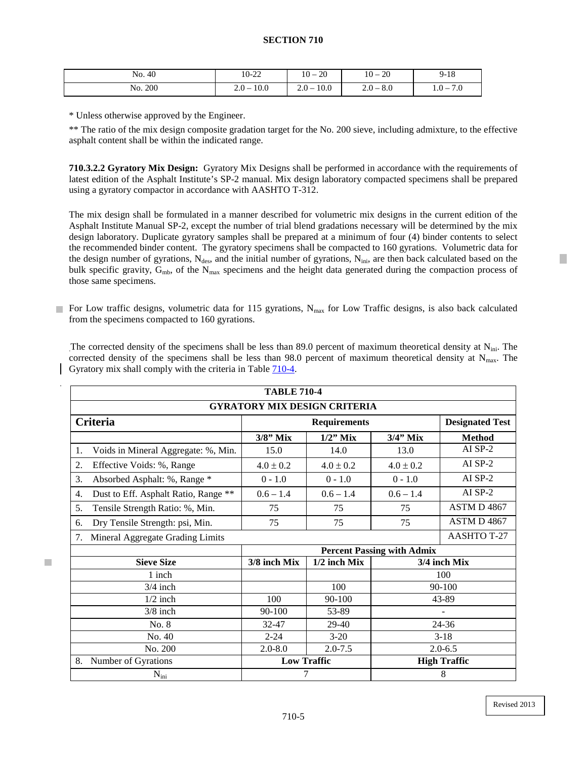| No. 40  | 10-22           | $10 - 20$       | 20<br>$10 -$ | $9 - 18$            |
|---------|-----------------|-----------------|--------------|---------------------|
| No. 200 | 10.0<br>$2.0 -$ | 10.0<br>$2.0 -$ | $2.0 - 8.0$  | 70<br>$-0.1$<br>7.U |

\* Unless otherwise approved by the Engineer.

\*\* The ratio of the mix design composite gradation target for the No. 200 sieve, including admixture, to the effective asphalt content shall be within the indicated range.

**710.3.2.2 Gyratory Mix Design:** Gyratory Mix Designs shall be performed in accordance with the requirements of latest edition of the Asphalt Institute's SP-2 manual. Mix design laboratory compacted specimens shall be prepared using a gyratory compactor in accordance with AASHTO T-312.

The mix design shall be formulated in a manner described for volumetric mix designs in the current edition of the Asphalt Institute Manual SP-2, except the number of trial blend gradations necessary will be determined by the mix design laboratory. Duplicate gyratory samples shall be prepared at a minimum of four (4) binder contents to select the recommended binder content. The gyratory specimens shall be compacted to 160 gyrations. Volumetric data for the design number of gyrations,  $N_{des}$ , and the initial number of gyrations,  $N_{ini}$ , are then back calculated based on the bulk specific gravity,  $G_{mb}$ , of the N<sub>max</sub> specimens and the height data generated during the compaction process of those same specimens.

For Low traffic designs, volumetric data for 115 gyrations,  $N_{\text{max}}$  for Low Traffic designs, is also back calculated from the specimens compacted to 160 gyrations.

The corrected density of the specimens shall be less than 89.0 percent of maximum theoretical density at N<sub>ini</sub>. The corrected density of the specimens shall be less than 98.0 percent of maximum theoretical density at  $N_{\text{max}}$ . The Gyratory mix shall comply with the criteria in Table  $710-4$ .

| <b>TABLE 710-4</b>                         |                                   |                    |                     |                        |  |  |
|--------------------------------------------|-----------------------------------|--------------------|---------------------|------------------------|--|--|
| <b>GYRATORY MIX DESIGN CRITERIA</b>        |                                   |                    |                     |                        |  |  |
| Criteria                                   | <b>Requirements</b>               |                    |                     | <b>Designated Test</b> |  |  |
|                                            | $3/8$ " Mix                       | $1/2$ " Mix        | $3/4$ " Mix         | <b>Method</b>          |  |  |
| Voids in Mineral Aggregate: %, Min.<br>1.  | 15.0                              | 14.0               | 13.0                | AI $SP-2$              |  |  |
| 2.<br>Effective Voids: %, Range            | $4.0 \pm 0.2$                     | $4.0 \pm 0.2$      | $4.0 \pm 0.2$       | AI SP-2                |  |  |
| 3.<br>Absorbed Asphalt: %, Range *         | $0 - 1.0$                         | $0 - 1.0$          | $0 - 1.0$           | AI $SP-2$              |  |  |
| Dust to Eff. Asphalt Ratio, Range **<br>4. | $0.6 - 1.4$                       | $0.6 - 1.4$        | $0.6 - 1.4$         | $AI$ SP-2              |  |  |
| 5.<br>Tensile Strength Ratio: %, Min.      | 75                                | 75                 | 75                  | ASTM D 4867            |  |  |
| Dry Tensile Strength: psi, Min.<br>6.      | 75                                | 75                 | 75                  | ASTM D 4867            |  |  |
| Mineral Aggregate Grading Limits<br>7.     |                                   |                    |                     | <b>AASHTO T-27</b>     |  |  |
|                                            | <b>Percent Passing with Admix</b> |                    |                     |                        |  |  |
| <b>Sieve Size</b>                          | 3/8 inch Mix                      | $1/2$ inch Mix     | 3/4 inch Mix        |                        |  |  |
| 1 inch                                     |                                   |                    | 100                 |                        |  |  |
| $3/4$ inch                                 |                                   | 100                | 90-100              |                        |  |  |
| $1/2$ inch                                 | 100                               | 90-100             | 43-89               |                        |  |  |
| $3/8$ inch                                 | 90-100                            | 53-89              |                     |                        |  |  |
| No. 8                                      | 32-47                             | 29-40              |                     | 24-36                  |  |  |
| No. 40                                     | $2 - 24$                          | $3-20$             |                     | $3-18$                 |  |  |
| No. 200                                    | $2.0 - 8.0$                       | $2.0 - 7.5$        |                     | $2.0 - 6.5$            |  |  |
| Number of Gyrations<br>8.                  |                                   | <b>Low Traffic</b> | <b>High Traffic</b> |                        |  |  |
| $N_{\rm ini}$                              |                                   | 7                  | 8                   |                        |  |  |

m.

Revised 2013

 $\mathcal{L}_{\mathcal{A}}$